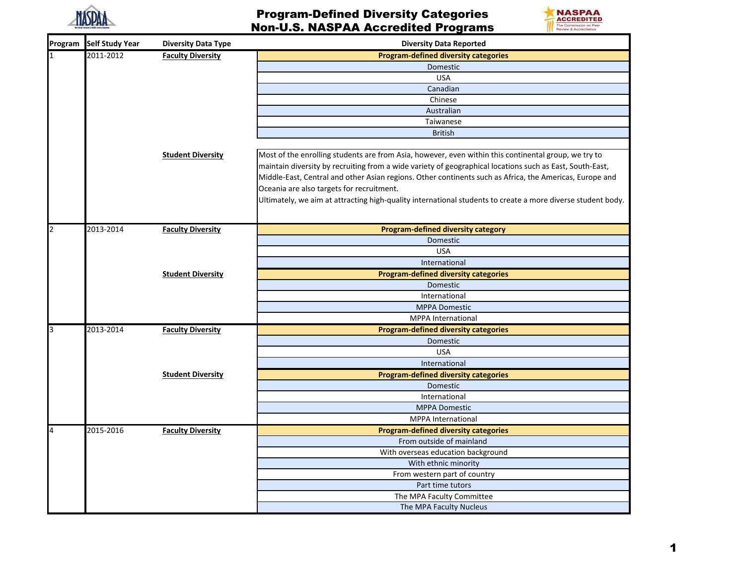



| Program | <b>Self Study Year</b> | <b>Diversity Data Type</b> | <b>Diversity Data Reported</b>                                                                              |
|---------|------------------------|----------------------------|-------------------------------------------------------------------------------------------------------------|
|         | 2011-2012              | <b>Faculty Diversity</b>   | <b>Program-defined diversity categories</b>                                                                 |
|         |                        |                            | Domestic                                                                                                    |
|         |                        |                            | <b>USA</b>                                                                                                  |
|         |                        |                            | Canadian                                                                                                    |
|         |                        |                            | Chinese                                                                                                     |
|         |                        |                            | Australian                                                                                                  |
|         |                        |                            | Taiwanese                                                                                                   |
|         |                        |                            | <b>British</b>                                                                                              |
|         |                        | <b>Student Diversity</b>   | Most of the enrolling students are from Asia, however, even within this continental group, we try to        |
|         |                        |                            | maintain diversity by recruiting from a wide variety of geographical locations such as East, South-East,    |
|         |                        |                            | Middle-East, Central and other Asian regions. Other continents such as Africa, the Americas, Europe and     |
|         |                        |                            | Oceania are also targets for recruitment.                                                                   |
|         |                        |                            | Ultimately, we aim at attracting high-quality international students to create a more diverse student body. |
|         |                        |                            |                                                                                                             |
|         |                        |                            |                                                                                                             |
|         | 2013-2014              | <b>Faculty Diversity</b>   | Program-defined diversity category                                                                          |
|         |                        |                            | Domestic                                                                                                    |
|         |                        |                            | <b>USA</b>                                                                                                  |
|         |                        |                            | International                                                                                               |
|         |                        | <b>Student Diversity</b>   | <b>Program-defined diversity categories</b>                                                                 |
|         |                        |                            | Domestic                                                                                                    |
|         |                        |                            | International                                                                                               |
|         |                        |                            | <b>MPPA Domestic</b>                                                                                        |
|         |                        |                            | MPPA International                                                                                          |
|         | 2013-2014              | <b>Faculty Diversity</b>   | <b>Program-defined diversity categories</b>                                                                 |
|         |                        |                            | Domestic                                                                                                    |
|         |                        |                            | <b>USA</b>                                                                                                  |
|         |                        |                            | International                                                                                               |
|         |                        | <b>Student Diversity</b>   | <b>Program-defined diversity categories</b>                                                                 |
|         |                        |                            | Domestic                                                                                                    |
|         |                        |                            | International                                                                                               |
|         |                        |                            | <b>MPPA Domestic</b>                                                                                        |
|         |                        |                            | <b>MPPA</b> International                                                                                   |
|         | 2015-2016              | <b>Faculty Diversity</b>   | <b>Program-defined diversity categories</b>                                                                 |
|         |                        |                            | From outside of mainland                                                                                    |
|         |                        |                            | With overseas education background                                                                          |
|         |                        |                            | With ethnic minority                                                                                        |
|         |                        |                            | From western part of country                                                                                |
|         |                        |                            | Part time tutors                                                                                            |
|         |                        |                            | The MPA Faculty Committee                                                                                   |
|         |                        |                            | The MPA Faculty Nucleus                                                                                     |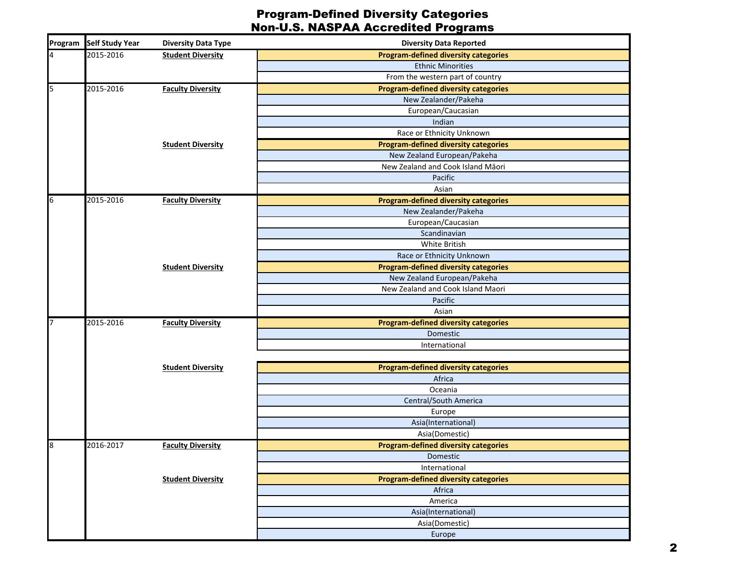| Program | <b>Self Study Year</b> | <b>Diversity Data Type</b> | <b>Diversity Data Reported</b>              |  |
|---------|------------------------|----------------------------|---------------------------------------------|--|
|         | 2015-2016              | <b>Student Diversity</b>   | <b>Program-defined diversity categories</b> |  |
|         |                        |                            | <b>Ethnic Minorities</b>                    |  |
|         |                        |                            | From the western part of country            |  |
| 5       | 2015-2016              | <b>Faculty Diversity</b>   | <b>Program-defined diversity categories</b> |  |
|         |                        |                            | New Zealander/Pakeha                        |  |
|         |                        |                            | European/Caucasian                          |  |
|         |                        |                            | Indian                                      |  |
|         |                        |                            | Race or Ethnicity Unknown                   |  |
|         |                        | <b>Student Diversity</b>   | <b>Program-defined diversity categories</b> |  |
|         |                        |                            | New Zealand European/Pakeha                 |  |
|         |                        |                            | New Zealand and Cook Island Māori           |  |
|         |                        |                            | Pacific                                     |  |
|         |                        |                            | Asian                                       |  |
|         | 2015-2016              | <b>Faculty Diversity</b>   | <b>Program-defined diversity categories</b> |  |
|         |                        |                            | New Zealander/Pakeha                        |  |
|         |                        |                            | European/Caucasian                          |  |
|         |                        |                            | Scandinavian                                |  |
|         |                        |                            | White British                               |  |
|         |                        |                            | Race or Ethnicity Unknown                   |  |
|         |                        | <b>Student Diversity</b>   | <b>Program-defined diversity categories</b> |  |
|         |                        |                            | New Zealand European/Pakeha                 |  |
|         |                        |                            | New Zealand and Cook Island Maori           |  |
|         |                        |                            | Pacific                                     |  |
|         |                        |                            | Asian                                       |  |
|         | 2015-2016              | <b>Faculty Diversity</b>   | <b>Program-defined diversity categories</b> |  |
|         |                        |                            | Domestic                                    |  |
|         |                        |                            | International                               |  |
|         |                        |                            |                                             |  |
|         |                        | <b>Student Diversity</b>   | <b>Program-defined diversity categories</b> |  |
|         |                        |                            | Africa                                      |  |
|         |                        |                            | Oceania                                     |  |
|         |                        |                            | Central/South America                       |  |
|         |                        |                            | Europe                                      |  |
|         |                        |                            | Asia(International)                         |  |
|         |                        |                            | Asia(Domestic)                              |  |
|         | 2016-2017              | <b>Faculty Diversity</b>   | <b>Program-defined diversity categories</b> |  |
|         |                        |                            | Domestic                                    |  |
|         |                        |                            | International                               |  |
|         |                        | <b>Student Diversity</b>   | <b>Program-defined diversity categories</b> |  |
|         |                        |                            | Africa                                      |  |
|         |                        |                            | America                                     |  |
|         |                        |                            | Asia(International)                         |  |
|         |                        |                            | Asia(Domestic)                              |  |
|         |                        |                            | Europe                                      |  |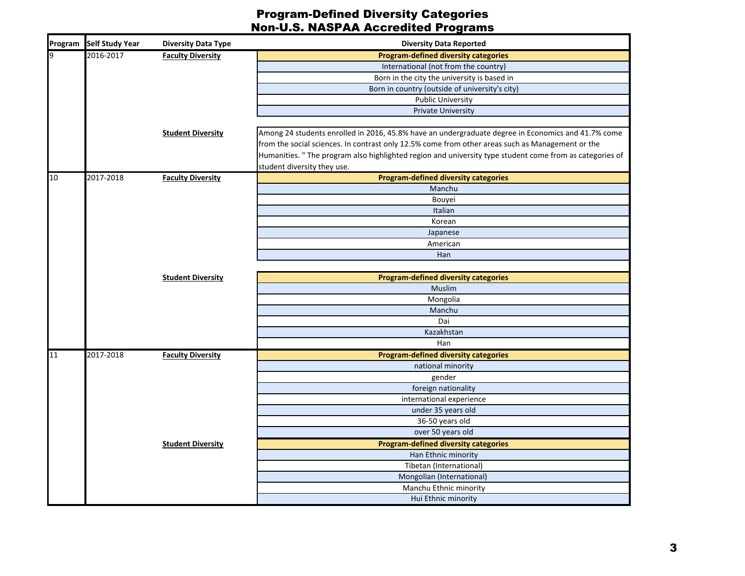| Program Self Study Year | <b>Diversity Data Type</b> | <b>Diversity Data Reported</b>                                                                           |
|-------------------------|----------------------------|----------------------------------------------------------------------------------------------------------|
| 2016-2017               | <b>Faculty Diversity</b>   | <b>Program-defined diversity categories</b>                                                              |
|                         |                            | International (not from the country)                                                                     |
|                         |                            | Born in the city the university is based in                                                              |
|                         |                            | Born in country (outside of university's city)                                                           |
|                         |                            | <b>Public University</b>                                                                                 |
|                         |                            | <b>Private University</b>                                                                                |
|                         | <b>Student Diversity</b>   | Among 24 students enrolled in 2016, 45.8% have an undergraduate degree in Economics and 41.7% come       |
|                         |                            | from the social sciences. In contrast only 12.5% come from other areas such as Management or the         |
|                         |                            | Humanities. " The program also highlighted region and university type student come from as categories of |
|                         |                            | student diversity they use.                                                                              |
| 2017-2018               | <b>Faculty Diversity</b>   | <b>Program-defined diversity categories</b>                                                              |
|                         |                            | Manchu                                                                                                   |
|                         |                            | Bouyei                                                                                                   |
|                         |                            | Italian                                                                                                  |
|                         |                            | Korean                                                                                                   |
|                         |                            | Japanese                                                                                                 |
|                         |                            | American                                                                                                 |
|                         |                            | Han                                                                                                      |
|                         | <b>Student Diversity</b>   | <b>Program-defined diversity categories</b>                                                              |
|                         |                            | Muslim                                                                                                   |
|                         |                            | Mongolia                                                                                                 |
|                         |                            | Manchu                                                                                                   |
|                         |                            | Dai                                                                                                      |
|                         |                            | Kazakhstan                                                                                               |
|                         |                            | Han                                                                                                      |
| 2017-2018               | <b>Faculty Diversity</b>   | <b>Program-defined diversity categories</b>                                                              |
|                         |                            | national minority                                                                                        |
|                         |                            | gender                                                                                                   |
|                         |                            | foreign nationality                                                                                      |
|                         |                            | international experience                                                                                 |
|                         |                            | under 35 years old                                                                                       |
|                         |                            | 36-50 years old                                                                                          |
|                         |                            | over 50 years old                                                                                        |
|                         | <b>Student Diversity</b>   | <b>Program-defined diversity categories</b>                                                              |
|                         |                            | Han Ethnic minority                                                                                      |
|                         |                            | Tibetan (International)                                                                                  |
|                         |                            | Mongolian (International)                                                                                |
|                         |                            | Manchu Ethnic minority                                                                                   |
|                         |                            | Hui Ethnic minority                                                                                      |